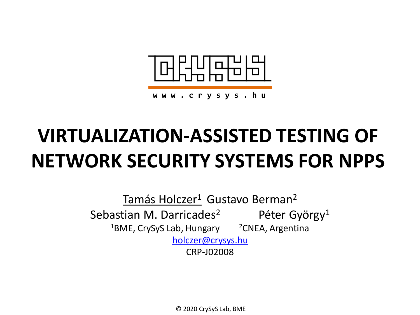

# **VIRTUALIZATION-ASSISTED TESTING OF NETWORK SECURITY SYSTEMS FOR NPPS**

Tamás Holczer<sup>1</sup> Gustavo Berman<sup>2</sup> Sebastian M. Darricades<sup>2</sup> Péter György<sup>1</sup>  $1$ BME, CrySyS Lab, Hungary  $2$ CNEA, Argentina [holczer@crysys.hu](mailto:holczer@crysys.hu) CRP-J02008

© 2020 CrySyS Lab, BME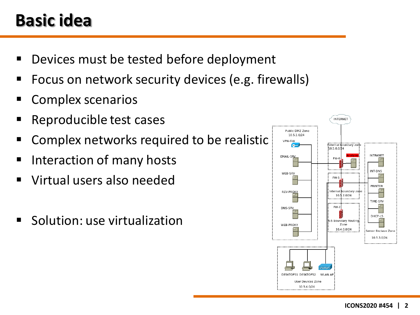#### **Basic idea**

- Devices must be tested before deployment
- Focus on network security devices (e.g. firewalls)
- Complex scenarios
- Reproducible test cases
- Complex networks required to be realistic
- Interaction of many hosts
- Virtual users also needed
- Solution: use virtualization

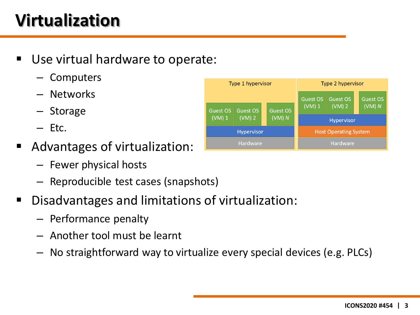# **Virtualization**

- Use virtual hardware to operate:
	- Computers
	- Networks
	- Storage
	- Etc.
- Advantages of virtualization:
	- Fewer physical hosts
	- Reproducible test cases (snapshots)
- Disadvantages and limitations of virtualization:
	- Performance penalty
	- Another tool must be learnt
	- No straightforward way to virtualize every special devices (e.g. PLCs)

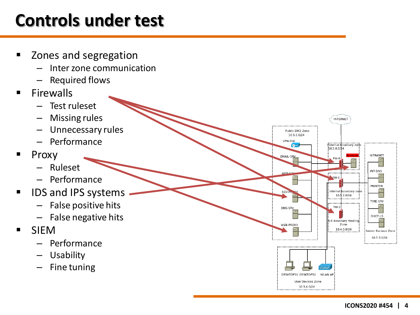### **Controls under test**

- Zones and segregation
	- Inter zone communication
	- Required flows
- **Firewalls** 
	- Test ruleset
	- Missing rules
	- Unnecessary rules
	- Performance
- $\blacksquare$  Proxy
	- Ruleset
	- Performance
- **IDS and IPS systems** 
	- False positive hits
	- False negative hits
- SIEM
	- Performance
	- Usability
	- Fine tuning



**INTERNET** 

**External boundary zone** 

**INTRANET** 

INT-DNS

PRINTER

TIME-SRV

DHCP-L5

Server Enclave Zone 10.5.3.0/24

 $10.5.0.0/24$ 

 $FW-0$ 

FW-1

nternal

FW-2

5 Boundary Routing:

**Zone** 10.4.0.0/24

boundary zone  $.2.0/24$ 10.

Public DMZ Zone 10.5.1.0/24 VPN-GW

73

EMAIL-SRV

**WFR.SP** 

REV-

DNS-SRV

WEB-PROXY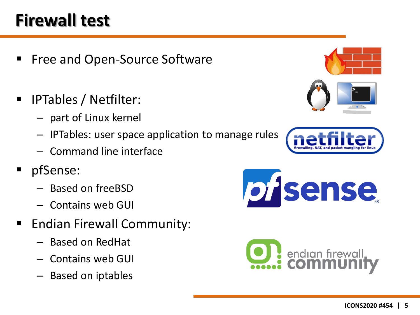## **Firewall test**

- Free and Open-Source Software
- IPTables / Netfilter:
	- part of Linux kernel
	- IPTables: user space application to manage rules
	- Command line interface
- pfSense:
	- Based on freeBSD
	- Contains web GUI
- Endian Firewall Community:
	- Based on RedHat
	- Contains web GUI
	- Based on iptables





pisense

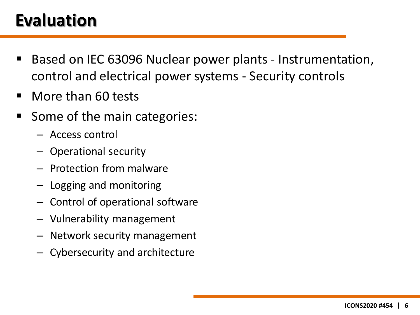### **Evaluation**

- Based on IEC 63096 Nuclear power plants Instrumentation, control and electrical power systems - Security controls
- More than 60 tests
- Some of the main categories:
	- Access control
	- Operational security
	- Protection from malware
	- Logging and monitoring
	- Control of operational software
	- Vulnerability management
	- Network security management
	- Cybersecurity and architecture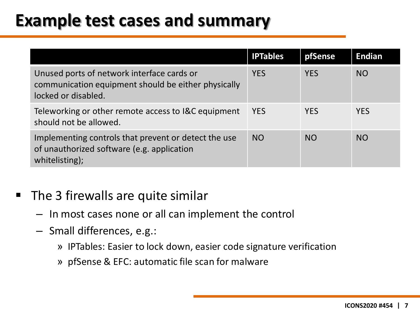#### **Example test cases and summary**

|                                                                                                                          | <b>IPTables</b> | pfSense    | <b>Endian</b> |
|--------------------------------------------------------------------------------------------------------------------------|-----------------|------------|---------------|
| Unused ports of network interface cards or<br>communication equipment should be either physically<br>locked or disabled. | <b>YES</b>      | <b>YES</b> | <b>NO</b>     |
| Teleworking or other remote access to I&C equipment<br>should not be allowed.                                            | <b>YES</b>      | <b>YES</b> | <b>YES</b>    |
| Implementing controls that prevent or detect the use<br>of unauthorized software (e.g. application<br>whitelisting);     | <b>NO</b>       | <b>NO</b>  | <b>NO</b>     |

- **The 3 firewalls are quite similar** 
	- In most cases none or all can implement the control
	- Small differences, e.g.:
		- » IPTables: Easier to lock down, easier code signature verification
		- » pfSense & EFC: automatic file scan for malware